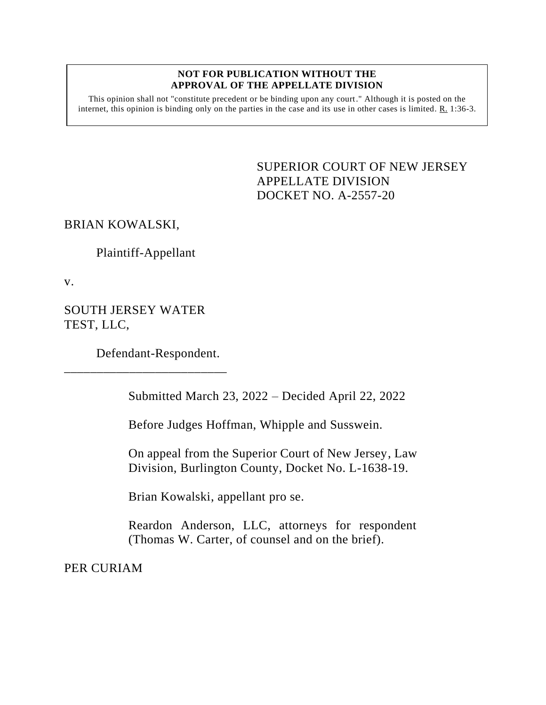#### **NOT FOR PUBLICATION WITHOUT THE APPROVAL OF THE APPELLATE DIVISION**

This opinion shall not "constitute precedent or be binding upon any court." Although it is posted on the internet, this opinion is binding only on the parties in the case and its use in other cases is limited. R. 1:36-3.

> <span id="page-0-0"></span>SUPERIOR COURT OF NEW JERSEY APPELLATE DIVISION DOCKET NO. A-2557-20

## BRIAN KOWALSKI,

Plaintiff-Appellant

v.

SOUTH JERSEY WATER TEST, LLC,

Defendant-Respondent.

\_\_\_\_\_\_\_\_\_\_\_\_\_\_\_\_\_\_\_\_\_\_\_\_\_

Submitted March 23, 2022 – Decided April 22, 2022

Before Judges Hoffman, Whipple and Susswein.

On appeal from the Superior Court of New Jersey, Law Division, Burlington County, Docket No. L-1638-19.

Brian Kowalski, appellant pro se.

Reardon Anderson, LLC, attorneys for respondent (Thomas W. Carter, of counsel and on the brief).

PER CURIAM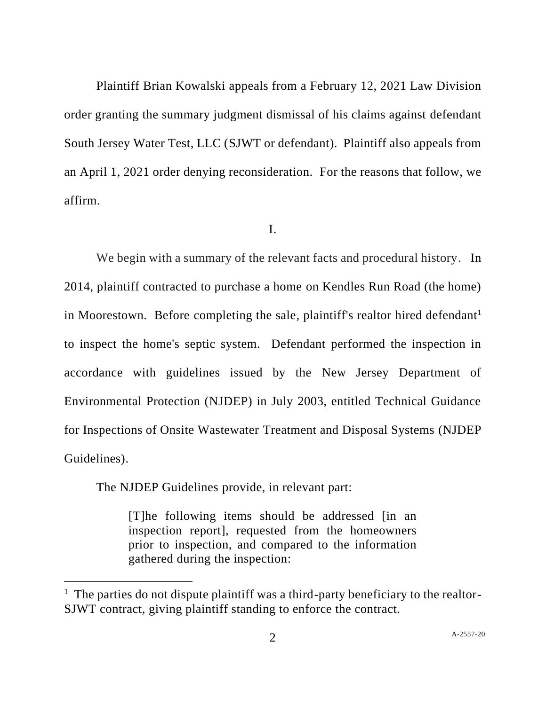Plaintiff Brian Kowalski appeals from a February 12, 2021 Law Division order granting the summary judgment dismissal of his claims against defendant South Jersey Water Test, LLC (SJWT or defendant). Plaintiff also appeals from an April 1, 2021 order denying reconsideration. For the reasons that follow, we affirm.

### I.

We begin with a summary of the relevant facts and procedural history. In 2014, plaintiff contracted to purchase a home on Kendles Run Road (the home) in Moorestown. Before completing the sale, plaintiff's realtor hired defendant<sup>1</sup> to inspect the home's septic system. Defendant performed the inspection in accordance with guidelines issued by the New Jersey Department of Environmental Protection (NJDEP) in July 2003, entitled Technical Guidance for Inspections of Onsite Wastewater Treatment and Disposal Systems (NJDEP Guidelines).

The NJDEP Guidelines provide, in relevant part:

[T]he following items should be addressed [in an inspection report], requested from the homeowners prior to inspection, and compared to the information gathered during the inspection:

 $1$  The parties do not dispute plaintiff was a third-party beneficiary to the realtor-SJWT contract, giving plaintiff standing to enforce the contract.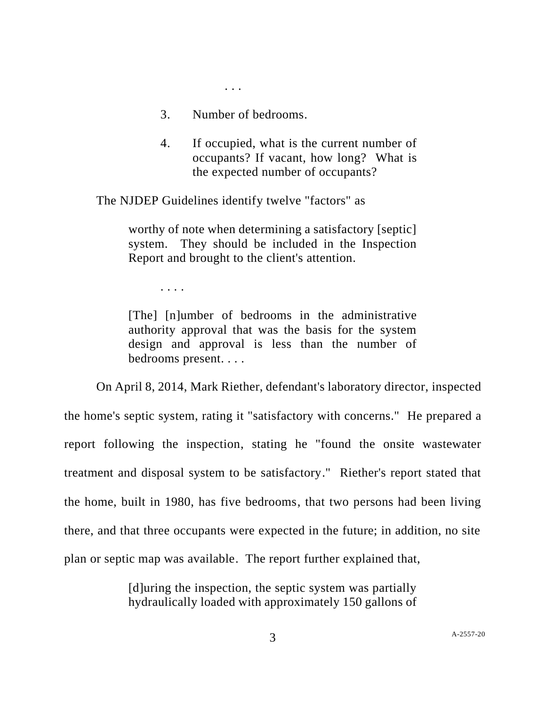3. Number of bedrooms.

. . .

4. If occupied, what is the current number of occupants? If vacant, how long? What is the expected number of occupants?

The NJDEP Guidelines identify twelve "factors" as

worthy of note when determining a satisfactory [septic] system. They should be included in the Inspection Report and brought to the client's attention.

. . . .

[The] [n]umber of bedrooms in the administrative authority approval that was the basis for the system design and approval is less than the number of bedrooms present. . . .

On April 8, 2014, Mark Riether, defendant's laboratory director, inspected the home's septic system, rating it "satisfactory with concerns." He prepared a report following the inspection, stating he "found the onsite wastewater treatment and disposal system to be satisfactory." Riether's report stated that the home, built in 1980, has five bedrooms, that two persons had been living there, and that three occupants were expected in the future; in addition, no site plan or septic map was available. The report further explained that,

> [d]uring the inspection, the septic system was partially hydraulically loaded with approximately 150 gallons of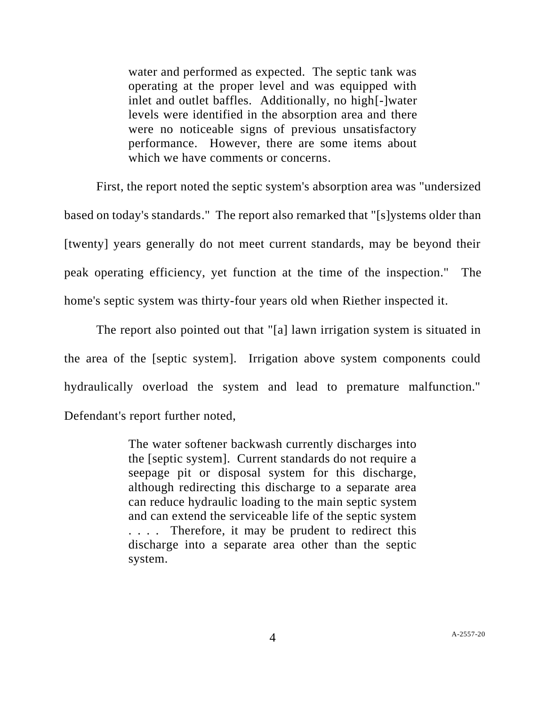water and performed as expected. The septic tank was operating at the proper level and was equipped with inlet and outlet baffles. Additionally, no high[-]water levels were identified in the absorption area and there were no noticeable signs of previous unsatisfactory performance. However, there are some items about which we have comments or concerns.

First, the report noted the septic system's absorption area was "undersized based on today's standards." The report also remarked that "[s]ystems older than [twenty] years generally do not meet current standards, may be beyond their peak operating efficiency, yet function at the time of the inspection." The home's septic system was thirty-four years old when Riether inspected it.

The report also pointed out that "[a] lawn irrigation system is situated in the area of the [septic system]. Irrigation above system components could hydraulically overload the system and lead to premature malfunction." Defendant's report further noted,

> The water softener backwash currently discharges into the [septic system]. Current standards do not require a seepage pit or disposal system for this discharge, although redirecting this discharge to a separate area can reduce hydraulic loading to the main septic system and can extend the serviceable life of the septic system . . . . Therefore, it may be prudent to redirect this discharge into a separate area other than the septic system.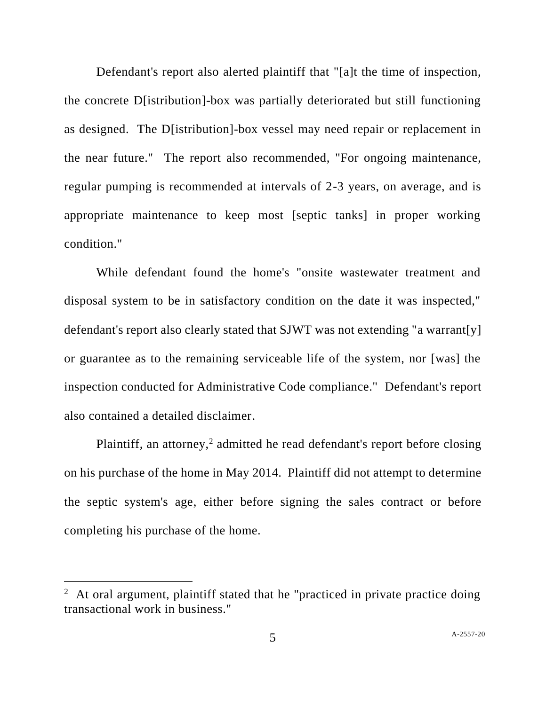Defendant's report also alerted plaintiff that "[a]t the time of inspection, the concrete D[istribution]-box was partially deteriorated but still functioning as designed. The D[istribution]-box vessel may need repair or replacement in the near future." The report also recommended, "For ongoing maintenance, regular pumping is recommended at intervals of 2-3 years, on average, and is appropriate maintenance to keep most [septic tanks] in proper working condition."

While defendant found the home's "onsite wastewater treatment and disposal system to be in satisfactory condition on the date it was inspected," defendant's report also clearly stated that SJWT was not extending "a warrant[y] or guarantee as to the remaining serviceable life of the system, nor [was] the inspection conducted for Administrative Code compliance." Defendant's report also contained a detailed disclaimer.

Plaintiff, an attorney,<sup>2</sup> admitted he read defendant's report before closing on his purchase of the home in May 2014. Plaintiff did not attempt to determine the septic system's age, either before signing the sales contract or before completing his purchase of the home.

 $2$  At oral argument, plaintiff stated that he "practiced in private practice doing transactional work in business."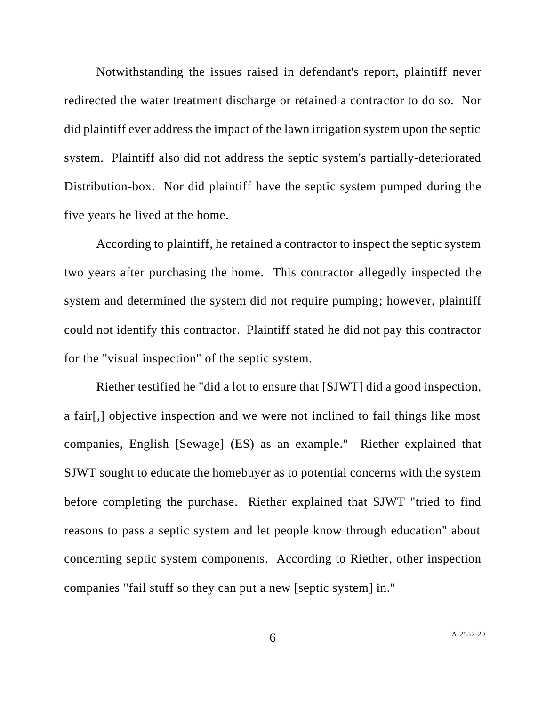Notwithstanding the issues raised in defendant's report, plaintiff never redirected the water treatment discharge or retained a contractor to do so. Nor did plaintiff ever address the impact of the lawn irrigation system upon the septic system. Plaintiff also did not address the septic system's partially-deteriorated Distribution-box. Nor did plaintiff have the septic system pumped during the five years he lived at the home.

According to plaintiff, he retained a contractor to inspect the septic system two years after purchasing the home. This contractor allegedly inspected the system and determined the system did not require pumping; however, plaintiff could not identify this contractor. Plaintiff stated he did not pay this contractor for the "visual inspection" of the septic system.

Riether testified he "did a lot to ensure that [SJWT] did a good inspection, a fair[,] objective inspection and we were not inclined to fail things like most companies, English [Sewage] (ES) as an example." Riether explained that SJWT sought to educate the homebuyer as to potential concerns with the system before completing the purchase. Riether explained that SJWT "tried to find reasons to pass a septic system and let people know through education" about concerning septic system components. According to Riether, other inspection companies "fail stuff so they can put a new [septic system] in."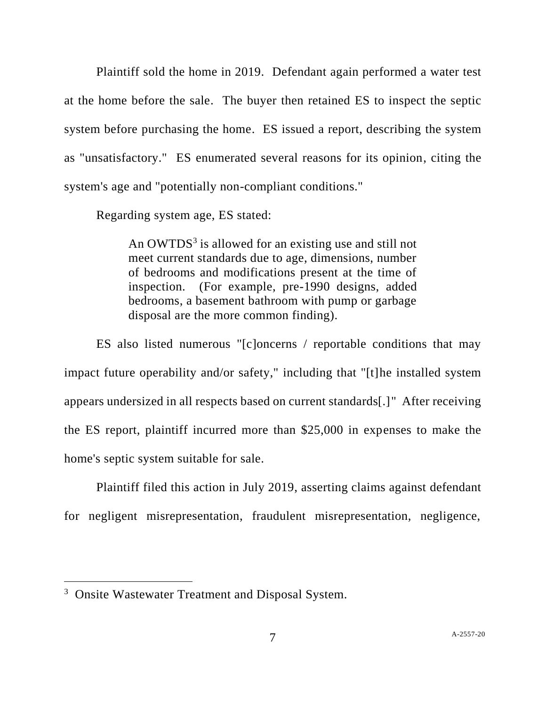Plaintiff sold the home in 2019. Defendant again performed a water test at the home before the sale. The buyer then retained ES to inspect the septic system before purchasing the home. ES issued a report, describing the system as "unsatisfactory." ES enumerated several reasons for its opinion, citing the system's age and "potentially non-compliant conditions."

Regarding system age, ES stated:

An OWTDS<sup>3</sup> is allowed for an existing use and still not meet current standards due to age, dimensions, number of bedrooms and modifications present at the time of inspection. (For example, pre-1990 designs, added bedrooms, a basement bathroom with pump or garbage disposal are the more common finding).

ES also listed numerous "[c]oncerns / reportable conditions that may impact future operability and/or safety," including that "[t]he installed system appears undersized in all respects based on current standards[.]" After receiving the ES report, plaintiff incurred more than \$25,000 in expenses to make the home's septic system suitable for sale.

Plaintiff filed this action in July 2019, asserting claims against defendant for negligent misrepresentation, fraudulent misrepresentation, negligence,

<sup>&</sup>lt;sup>3</sup> Onsite Wastewater Treatment and Disposal System.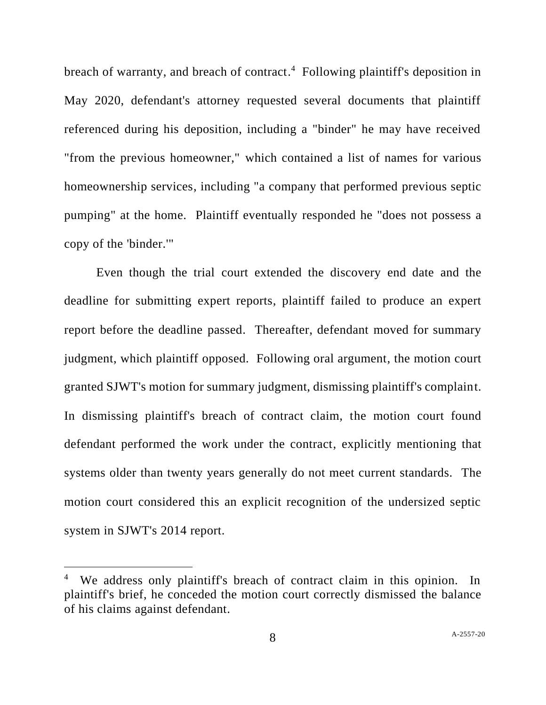breach of warranty, and breach of contract. <sup>4</sup> Following plaintiff's deposition in May 2020, defendant's attorney requested several documents that plaintiff referenced during his deposition, including a "binder" he may have received "from the previous homeowner," which contained a list of names for various homeownership services, including "a company that performed previous septic pumping" at the home. Plaintiff eventually responded he "does not possess a copy of the 'binder.'"

Even though the trial court extended the discovery end date and the deadline for submitting expert reports, plaintiff failed to produce an expert report before the deadline passed. Thereafter, defendant moved for summary judgment, which plaintiff opposed. Following oral argument, the motion court granted SJWT's motion for summary judgment, dismissing plaintiff's complaint. In dismissing plaintiff's breach of contract claim, the motion court found defendant performed the work under the contract, explicitly mentioning that systems older than twenty years generally do not meet current standards. The motion court considered this an explicit recognition of the undersized septic system in SJWT's 2014 report.

<sup>&</sup>lt;sup>4</sup> We address only plaintiff's breach of contract claim in this opinion. In plaintiff's brief, he conceded the motion court correctly dismissed the balance of his claims against defendant.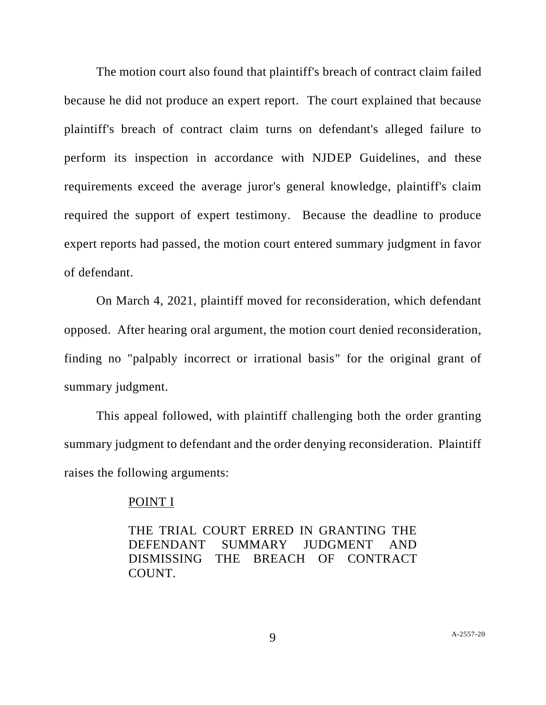The motion court also found that plaintiff's breach of contract claim failed because he did not produce an expert report. The court explained that because plaintiff's breach of contract claim turns on defendant's alleged failure to perform its inspection in accordance with NJDEP Guidelines, and these requirements exceed the average juror's general knowledge, plaintiff's claim required the support of expert testimony. Because the deadline to produce expert reports had passed, the motion court entered summary judgment in favor of defendant.

On March 4, 2021, plaintiff moved for reconsideration, which defendant opposed. After hearing oral argument, the motion court denied reconsideration, finding no "palpably incorrect or irrational basis" for the original grant of summary judgment.

This appeal followed, with plaintiff challenging both the order granting summary judgment to defendant and the order denying reconsideration. Plaintiff raises the following arguments:

### POINT I

THE TRIAL COURT ERRED IN GRANTING THE DEFENDANT SUMMARY JUDGMENT AND DISMISSING THE BREACH OF CONTRACT COUNT.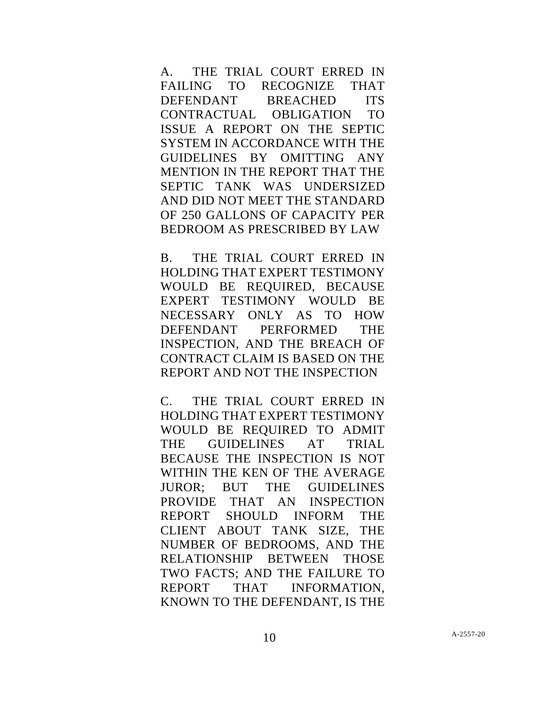A. THE TRIAL COURT ERRED IN FAILING TO RECOGNIZE THAT DEFENDANT BREACHED ITS CONTRACTUAL OBLIGATION TO ISSUE A REPORT ON THE SEPTIC SYSTEM IN ACCORDANCE WITH THE GUIDELINES BY OMITTING ANY MENTION IN THE REPORT THAT THE SEPTIC TANK WAS UNDERSIZED AND DID NOT MEET THE STANDARD OF 250 GALLONS OF CAPACITY PER BEDROOM AS PRESCRIBED BY LAW

B. THE TRIAL COURT ERRED IN HOLDING THAT EXPERT TESTIMONY WOULD BE REQUIRED, BECAUSE EXPERT TESTIMONY WOULD BE NECESSARY ONLY AS TO HOW DEFENDANT PERFORMED THE INSPECTION, AND THE BREACH OF CONTRACT CLAIM IS BASED ON THE REPORT AND NOT THE INSPECTION

C. THE TRIAL COURT ERRED IN HOLDING THAT EXPERT TESTIMONY WOULD BE REQUIRED TO ADMIT THE GUIDELINES AT TRIAL BECAUSE THE INSPECTION IS NOT WITHIN THE KEN OF THE AVERAGE JUROR; BUT THE GUIDELINES PROVIDE THAT AN INSPECTION REPORT SHOULD INFORM THE CLIENT ABOUT TANK SIZE, THE NUMBER OF BEDROOMS, AND THE RELATIONSHIP BETWEEN THOSE TWO FACTS; AND THE FAILURE TO REPORT THAT INFORMATION, KNOWN TO THE DEFENDANT, IS THE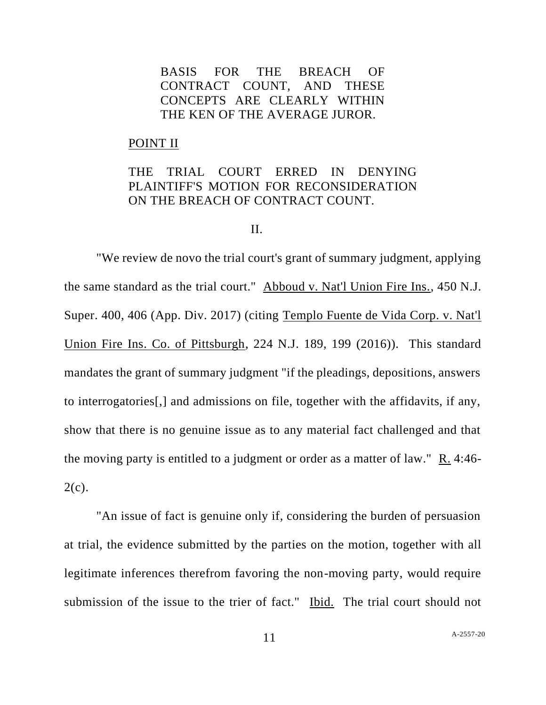# BASIS FOR THE BREACH OF CONTRACT COUNT, AND THESE CONCEPTS ARE CLEARLY WITHIN THE KEN OF THE AVERAGE JUROR.

#### POINT II

# THE TRIAL COURT ERRED IN DENYING PLAINTIFF'S MOTION FOR RECONSIDERATION ON THE BREACH OF CONTRACT COUNT.

#### II.

"We review de novo the trial court's grant of summary judgment, applying the same standard as the trial court." Abboud v. Nat'l Union Fire Ins., 450 N.J. Super. 400, 406 (App. Div. 2017) (citing Templo Fuente de Vida Corp. v. Nat'l Union Fire Ins. Co. of Pittsburgh, 224 N.J. 189, 199 (2016)). This standard mandates the grant of summary judgment "if the pleadings, depositions, answers to interrogatories[,] and admissions on file, together with the affidavits, if any, show that there is no genuine issue as to any material fact challenged and that the moving party is entitled to a judgment or order as a matter of law." R. 4:46-  $2(c)$ .

"An issue of fact is genuine only if, considering the burden of persuasion at trial, the evidence submitted by the parties on the motion, together with all legitimate inferences therefrom favoring the non-moving party, would require submission of the issue to the trier of fact." Ibid. The trial court should not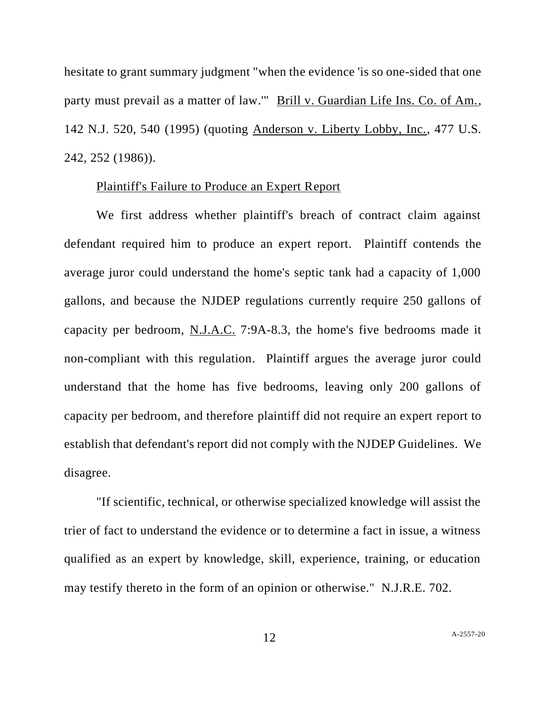hesitate to grant summary judgment "when the evidence 'is so one-sided that one party must prevail as a matter of law.'" Brill v. Guardian Life Ins. Co. of Am., 142 N.J. 520, 540 (1995) (quoting Anderson v. Liberty Lobby, Inc., 477 U.S. 242, 252 (1986)).

## Plaintiff's Failure to Produce an Expert Report

We first address whether plaintiff's breach of contract claim against defendant required him to produce an expert report. Plaintiff contends the average juror could understand the home's septic tank had a capacity of 1,000 gallons, and because the NJDEP regulations currently require 250 gallons of capacity per bedroom, N.J.A.C. 7:9A-8.3, the home's five bedrooms made it non-compliant with this regulation. Plaintiff argues the average juror could understand that the home has five bedrooms, leaving only 200 gallons of capacity per bedroom, and therefore plaintiff did not require an expert report to establish that defendant's report did not comply with the NJDEP Guidelines. We disagree.

"If scientific, technical, or otherwise specialized knowledge will assist the trier of fact to understand the evidence or to determine a fact in issue, a witness qualified as an expert by knowledge, skill, experience, training, or education may testify thereto in the form of an opinion or otherwise." N.J.R.E. 702.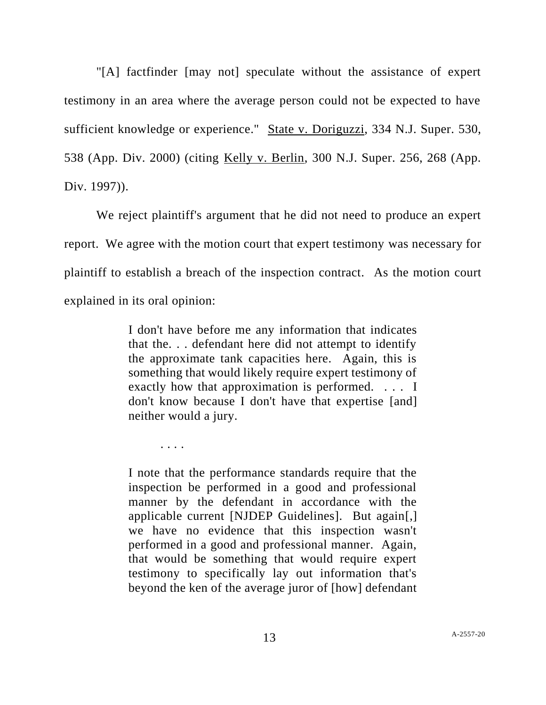"[A] factfinder [may not] speculate without the assistance of expert testimony in an area where the average person could not be expected to have sufficient knowledge or experience." State v. Doriguzzi, 334 N.J. Super. 530, 538 (App. Div. 2000) (citing Kelly v. Berlin, 300 N.J. Super. 256, 268 (App. Div. 1997)).

We reject plaintiff's argument that he did not need to produce an expert report. We agree with the motion court that expert testimony was necessary for plaintiff to establish a breach of the inspection contract. As the motion court explained in its oral opinion:

> I don't have before me any information that indicates that the. . . defendant here did not attempt to identify the approximate tank capacities here. Again, this is something that would likely require expert testimony of exactly how that approximation is performed. . . . I don't know because I don't have that expertise [and] neither would a jury.

. . . .

I note that the performance standards require that the inspection be performed in a good and professional manner by the defendant in accordance with the applicable current [NJDEP Guidelines]. But again[,] we have no evidence that this inspection wasn't performed in a good and professional manner. Again, that would be something that would require expert testimony to specifically lay out information that's beyond the ken of the average juror of [how] defendant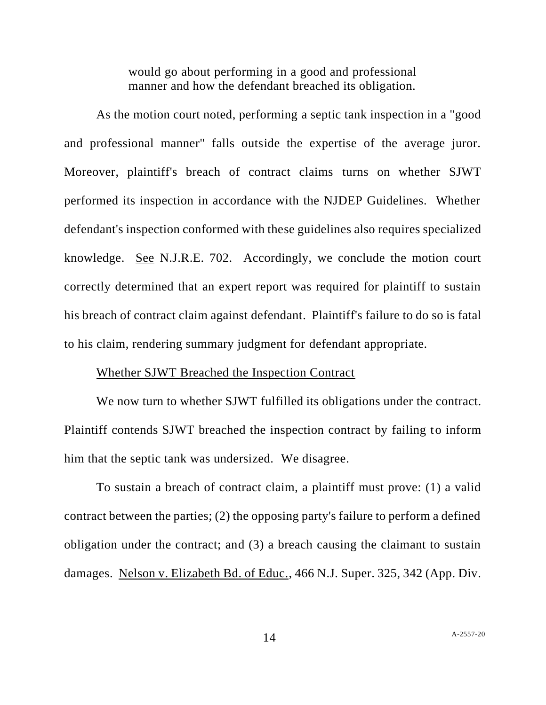would go about performing in a good and professional manner and how the defendant breached its obligation.

As the motion court noted, performing a septic tank inspection in a "good and professional manner" falls outside the expertise of the average juror. Moreover, plaintiff's breach of contract claims turns on whether SJWT performed its inspection in accordance with the NJDEP Guidelines. Whether defendant's inspection conformed with these guidelines also requires specialized knowledge. See N.J.R.E. 702. Accordingly, we conclude the motion court correctly determined that an expert report was required for plaintiff to sustain his breach of contract claim against defendant. Plaintiff's failure to do so is fatal to his claim, rendering summary judgment for defendant appropriate.

### Whether SJWT Breached the Inspection Contract

We now turn to whether SJWT fulfilled its obligations under the contract. Plaintiff contends SJWT breached the inspection contract by failing to inform him that the septic tank was undersized. We disagree.

To sustain a breach of contract claim, a plaintiff must prove: (1) a valid contract between the parties; (2) the opposing party's failure to perform a defined obligation under the contract; and (3) a breach causing the claimant to sustain damages. Nelson v. Elizabeth Bd. of Educ., 466 N.J. Super. 325, 342 (App. Div.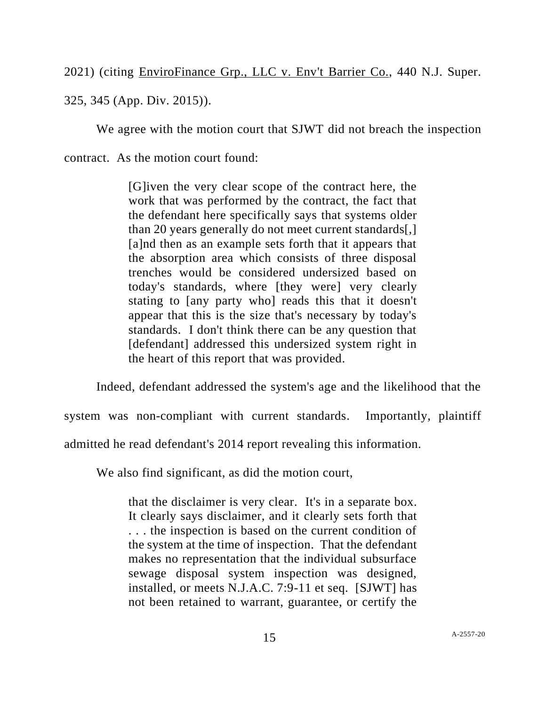2021) (citing EnviroFinance Grp., LLC v. Env't Barrier Co., 440 N.J. Super.

325, 345 (App. Div. 2015)).

We agree with the motion court that SJWT did not breach the inspection

contract. As the motion court found:

[G]iven the very clear scope of the contract here, the work that was performed by the contract, the fact that the defendant here specifically says that systems older than 20 years generally do not meet current standards[,] [a]nd then as an example sets forth that it appears that the absorption area which consists of three disposal trenches would be considered undersized based on today's standards, where [they were] very clearly stating to [any party who] reads this that it doesn't appear that this is the size that's necessary by today's standards. I don't think there can be any question that [defendant] addressed this undersized system right in the heart of this report that was provided.

Indeed, defendant addressed the system's age and the likelihood that the

system was non-compliant with current standards. Importantly, plaintiff

admitted he read defendant's 2014 report revealing this information.

We also find significant, as did the motion court,

that the disclaimer is very clear. It's in a separate box. It clearly says disclaimer, and it clearly sets forth that . . . the inspection is based on the current condition of the system at the time of inspection. That the defendant makes no representation that the individual subsurface sewage disposal system inspection was designed, installed, or meets N.J.A.C. 7:9-11 et seq. [SJWT] has not been retained to warrant, guarantee, or certify the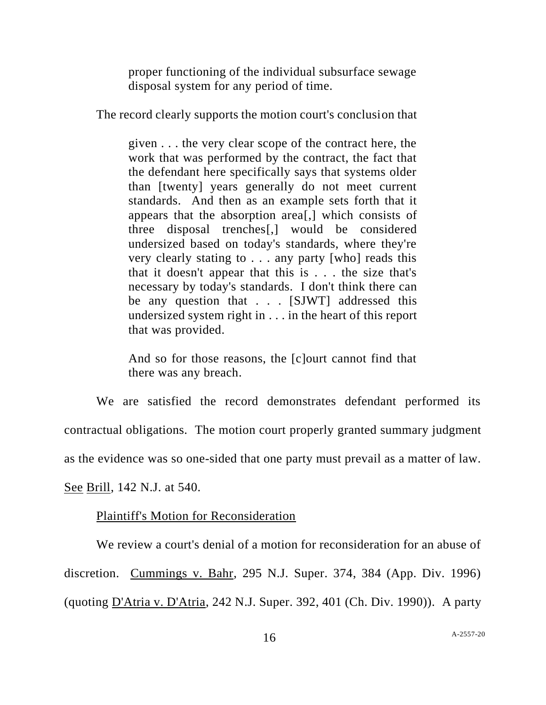proper functioning of the individual subsurface sewage disposal system for any period of time.

The record clearly supports the motion court's conclusion that

given . . . the very clear scope of the contract here, the work that was performed by the contract, the fact that the defendant here specifically says that systems older than [twenty] years generally do not meet current standards. And then as an example sets forth that it appears that the absorption area[,] which consists of three disposal trenches[,] would be considered undersized based on today's standards, where they're very clearly stating to . . . any party [who] reads this that it doesn't appear that this is . . . the size that's necessary by today's standards. I don't think there can be any question that . . . [SJWT] addressed this undersized system right in . . . in the heart of this report that was provided.

And so for those reasons, the [c]ourt cannot find that there was any breach.

We are satisfied the record demonstrates defendant performed its contractual obligations. The motion court properly granted summary judgment as the evidence was so one-sided that one party must prevail as a matter of law.

See Brill, 142 N.J. at 540.

# Plaintiff's Motion for Reconsideration

We review a court's denial of a motion for reconsideration for an abuse of discretion. Cummings v. Bahr, 295 N.J. Super. 374, 384 (App. Div. 1996) (quoting D'Atria v. D'Atria, 242 N.J. Super. 392, 401 (Ch. Div. 1990)). A party